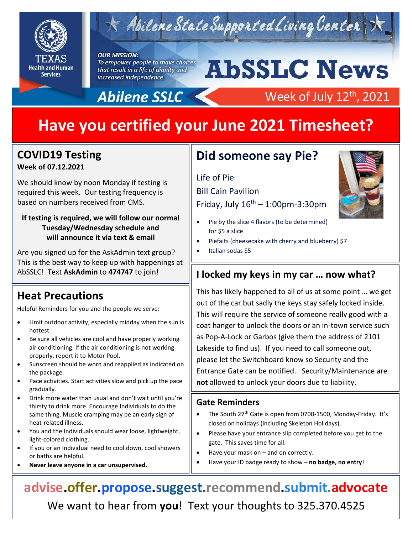

## $\star$  Abilene State Supported Living Center

#### **OUR MISSION:**

To empower people to make choices that result in a life of dignity and increased independence.

# **AbSSLC News**

Week of July 12<sup>th</sup>, 2021

## Abilene SSLC

## **Have you certified your June 2021 Timesheet?**

### **COVID19 Testing Week of 07.12.2021**

We should know by noon Monday if testing is required this week. Our testing frequency is based on numbers received from CMS.

#### **If testing is required, we will follow our normal Tuesday/Wednesday schedule and will announce it via text & email**

Are you signed up for the AskAdmin text group? This is the best way to keep up with happenings at AbSSLC! Text **AskAdmin** to **474747** to join!

## **Heat Precautions**

Helpful Reminders for you and the people we serve:

- Limit outdoor activity, especially midday when the sun is hottest.
- Be sure all vehicles are cool and have properly working air conditioning. If the air conditioning is not working properly, report it to Motor Pool.
- Sunscreen should be worn and reapplied as indicated on the package.
- Pace activities. Start activities slow and pick up the pace gradually.
- Drink more water than usual and don't wait until you're thirsty to drink more. Encourage Individuals to do the same thing. Muscle cramping may be an early sign of heat-related illness.
- You and the Individuals should wear loose, lightweight, light-colored clothing.
- If you or an Individual need to cool down, cool showers or baths are helpful.
- **Never leave anyone in a car unsupervised.**

## **Did someone say Pie?**

#### Life of Pie

Bill Cain Pavilion

Friday, July  $16^{th}$  – 1:00pm-3:30pm

- Pie by the slice 4 flavors (to be determined) for \$5 a slice
- Piefaits (cheesecake with cherry and blueberry) \$7
- Italian sodas \$5

#### 2019 **I locked my keys in my car … now what?**

This has likely happened to all of us at some point … we get out of the car but sadly the keys stay safely locked inside. This will require the service of someone really good with a coat hanger to unlock the doors or an in-town service such as Pop-A-Lock or Garbos (give them the address of 2101 Lakeside to find us). If you need to call someone out, please let the Switchboard know so Security and the Entrance Gate can be notified. Security/Maintenance are **not** allowed to unlock your doors due to liability.

#### **Gate Reminders**

- The South 27<sup>th</sup> Gate is open from 0700-1500, Monday-Friday. It's closed on holidays (including Skeleton Holidays).
- Please have your entrance slip completed before you get to the gate. This saves time for all.
- Have your mask on and on correctly.
- Have your ID badge ready to show **no badge, no entry**!

**advise.offer.propose.suggest.recommend.submit.advocate** We want to hear from **you**! Text your thoughts to 325.370.4525